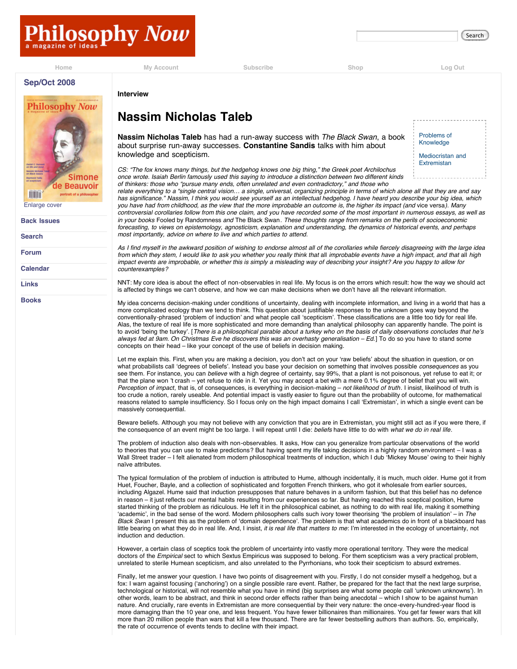**[Home](http://www.philosophynow.org/) [My Account](http://www.philosophynow.org/account.htm) [Subscribe](http://www.philosophynow.org/subscribe) [Shop](http://www.philosophynow.org/shop) [Log Out](http://www.philosophynow.org/login?e=logout)**

[Problems of](http://www.philosophynow.org/issue69/69taleb-s1.htm) Knowledge [Mediocristan and](http://www.philosophynow.org/issue69/69taleb-s2.htm) Extremistan



**[Search](http://www.philosophynow.org/search)**

**[Forum](http://www.philosophynow.org/forum.htm)**

**[Calendar](http://www.philosophynow.org/calendar.htm)**

**[Links](http://www.philosophynow.org/links.htm)**

**[Books](http://www.philosophynow.org/bookstore.htm)**

**Interview**

## **Nassim Nicholas Taleb**

**Nassim Nicholas Taleb** has had a run-away success with *The Black Swan*, a book about surprise run-away successes. **Constantine Sandis** talks with him about knowledge and scepticism.

*CS: "The fox knows many things, but the hedgehog knows one big thing," the Greek poet Archilochus once wrote. Isaiah Berlin famously used this saying to introduce a distinction between two different kinds of thinkers: those who "pursue many ends, often unrelated and even contradictory," and those who*

*relate everything to a "single central vision… a single, universal, organizing principle in terms of which alone all that they are and say has significance." Nassim, I think you would see yourself as an intellectual hedgehog. I have heard you describe your big idea, which you have had from childhood, as the view that the more improbable an outcome is, the higher its impact (and* vice versa*). Many controversial corollaries follow from this one claim, and you have recorded some of the most important in numerous essays, as well as in your books* Fooled by Randomness *and* The Black Swan*. These thoughts range from remarks on the perils of socioeconomic forecasting, to views on epistemology, agnosticism, explanation and understanding, the dynamics of historical events, and perhaps most importantly, advice on where to live and which parties to attend.*

*As I find myself in the awkward position of wishing to endorse almost all of the corollaries while fiercely disagreeing with the large idea from which they stem, I would like to ask you whether you really think that all improbable events have a high impact, and that all high impact events are improbable, or whether this is simply a misleading way of describing your insight? Are you happy to allow for counterexamples?*

NNT: My core idea is about the effect of non-observables in real life. My focus is on the errors which result: how the way we should act is affected by things we can't observe, and how we can make decisions when we don't have all the relevant information.

My idea concerns decision-making under conditions of uncertainty, dealing with incomplete information, and living in a world that has a more complicated ecology than we tend to think. This question about justifiable responses to the unknown goes way beyond the conventionally-phrased ʻproblem of induction' and what people call ʻscepticism'. These classifications are a little too tidy for real life. Alas, the texture of real life is more sophisticated and more demanding than analytical philosophy can apparently handle. The point is to avoid ʻbeing the turkey'. [*There is a philosophical parable about a turkey who on the basis of daily observations concludes that he*'*s always fed at 9am. On Christmas Eve he discovers this was an overhasty generalisation – Ed.*] To do so you have to stand some concepts on their head – like your concept of the use of beliefs in decision making.

Let me explain this. First, when you are making a decision, you don't act on your ʻraw beliefs' about the situation in question, or on what probabilists call ʻdegrees of beliefs'. Instead you base your decision on something that involves possible *consequences* as you see them. For instance, you can *believe* with a high degree of certainty, say 99%, that a plant is not poisonous, yet refuse to eat it; or that the plane won 't crash – yet refuse to ride in it. Yet you may accept a bet with a mere 0.1% degree of belief that you will win. *Perception of impact*, that is, of consequences, is everything in decision-making – *not likelihood of truth*. I insist, likelihood of truth is too crude a notion, rarely useable. And potential impact is vastly easier to figure out than the probability of outcome, for mathematical reasons related to sample insufficiency. So I focus only on the high impact domains I call ʻExtremistan', in which a single event can be massively consequential.

Beware beliefs. Although you may not believe with any conviction that you are in Extremistan, you might still act as if you were there, if the consequence of an event might be too large. I will repeat until I die: *beliefs* have little to do with *what we do in real life*.

The problem of induction also deals with non-observables. It asks, How can you generalize from particular observations of the world to theories that you can use to make predictions? But having spent my life taking decisions in a highly random environment – I was a Wall Street trader – I felt alienated from modern philosophical treatments of induction, which I dub ʻMickey Mouse' owing to their highly naïve attributes.

The typical formulation of the problem of induction is attributed to Hume, although incidentally, it is much, much older. Hume got it from Huet, Foucher, Bayle, and a collection of sophisticated and forgotten French thinkers, who got it wholesale from earlier sources, including Algazel. Hume said that induction presupposes that nature behaves in a uniform fashion, but that this belief has no defence in reason – it just reflects our mental habits resulting from our experiences so far. But having reached this sceptical position, Hume started thinking of the problem as ridiculous. He left it in the philosophical cabinet, as nothing to do with real life, making it something ʻacademic', in the bad sense of the word. Modern philosophers calls such ivory tower theorising ʻthe problem of insulation' – in *The Black Swan* I present this as the problem of ʻdomain dependence'. The problem is that what academics do in front of a blackboard has little bearing on what they do in real life. And, I insist, *it is real life that matters to me*: I'm interested in the ecology of uncertainty, not induction and deduction.

However, a certain class of sceptics took the problem of uncertainty into vastly more operational territory. They were the medical doctors of the *Empirical* sect to which Sextus Empiricus was supposed to belong. For them scepticism was a very practical problem, unrelated to sterile Humean scepticism, and also unrelated to the Pyrrhonians, who took their scepticism to absurd extremes.

Finally, let me answer your question. I have two points of disagreement with you. Firstly, I do not consider myself a hedgehog, but a fox: I warn against focusing (ʻanchoring') on a single possible rare event. Rather, be prepared for the fact that the next large surprise, technological or historical, will not resemble what you have in mind (big surprises are what some people call ʻunknown unknowns'). In other words, learn to be abstract, and think in second order effects rather than being anecdotal – which I show to be against human nature. And crucially, rare events in Extremistan are more consequential by their very nature: the once-every-hundred-year flood is more damaging than the 10 year one, and less frequent. You have fewer billionaires than millionaires. You get far fewer wars that kill more than 20 million people than wars that kill a few thousand. There are far fewer bestselling authors than authors. So, empirically, the rate of occurrence of events tends to decline with their impact.